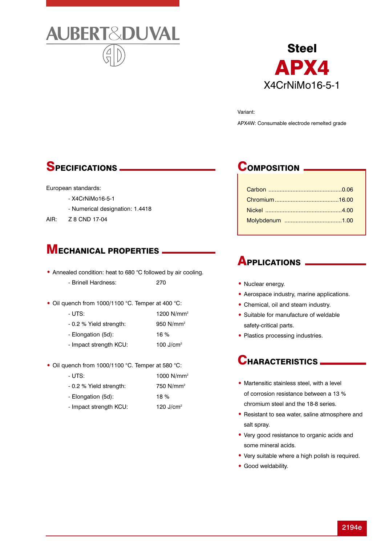



Variant: APX4W: Consumable electrode remelted grade

## SPECIFICATIONS

#### European standards:

- X4CrNiMo16-5-1
- Numerical designation: 1.4418
- AIR: Z 8 CND 17-04

## **MECHANICAL PROPERTIES**

- Annealed condition: heat to 680 °C followed by air cooling. - Brinell Hardness: 270
- Oil quench from 1000/1100 °C. Temper at 400 °C:
	- UTS: 1200 N/mm<sup>2</sup> - 0.2 % Yield strength: 950 N/mm<sup>2</sup> - Elongation (5d): 16 % - Impact strength KCU: 100 J/cm<sup>2</sup>
- Oil quench from 1000/1100 °C. Temper at 580 °C:
	- UTS: 1000 N/mm<sup>2</sup> - 0.2 % Yield strength: 750 N/mm<sup>2</sup> - Elongation (5d): 18 %
	- Impact strength KCU: 120 J/cm<sup>2</sup>

## COMPOSITION.

#### **APPLICATIONS**

- Nuclear energy.
- Aerospace industry, marine applications.
- Chemical, oil and steam industry.
- Suitable for manufacture of weldable safety-critical parts.
- Plastics processing industries.

### CHARACTERISTICS.

- Martensitic stainless steel, with a level of corrosion resistance between a 13 % chromium steel and the 18-8 series.
- Resistant to sea water, saline atmosphere and salt spray.
- Very good resistance to organic acids and some mineral acids.
- Very suitable where a high polish is required.
- Good weldability.